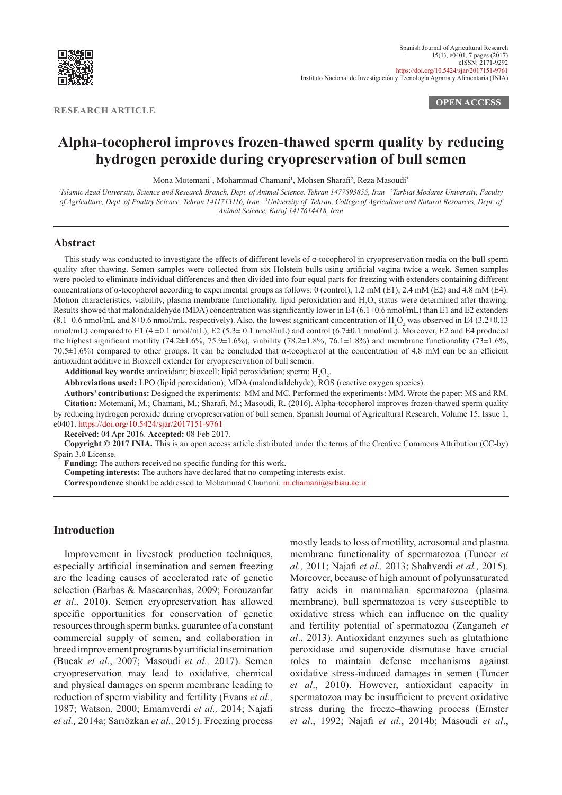

**RESEARCH ARTICLE**

**OPEN ACCESS**

# **Alpha-tocopherol improves frozen-thawed sperm quality by reducing hydrogen peroxide during cryopreservation of bull semen**

Mona Motemani<sup>1</sup>, Mohammad Chamani<sup>1</sup>, Mohsen Sharafi<sup>2</sup>, Reza Masoudi<sup>3</sup>

<sup>1</sup>Islamic Azad University, Science and Research Branch, Dept. of Animal Science, Tehran 1477893855, Iran <sup>2</sup>Tarbiat Modares University, Faculty *of Agriculture, Dept. of Poultry Science, Tehran 1411713116, Iran 3 University of Tehran, College of Agriculture and Natural Resources, Dept. of Animal Science, Karaj 1417614418, Iran*

# **Abstract**

This study was conducted to investigate the effects of different levels of α-tocopherol in cryopreservation media on the bull sperm quality after thawing. Semen samples were collected from six Holstein bulls using artificial vagina twice a week. Semen samples were pooled to eliminate individual differences and then divided into four equal parts for freezing with extenders containing different concentrations of α-tocopherol according to experimental groups as follows: 0 (control), 1.2 mM (E1), 2.4 mM (E2) and 4.8 mM (E4). Motion characteristics, viability, plasma membrane functionality, lipid peroxidation and  $H_2O_2$  status were determined after thawing. Results showed that malondialdehyde (MDA) concentration was significantly lower in E4 (6.1±0.6 nmol/mL) than E1 and E2 extenders  $(8.1\pm0.6 \text{ nmol/mL}$  and  $8\pm0.6 \text{ nmol/mL}$ , respectively). Also, the lowest significant concentration of  $H_2O_2$  was observed in E4 (3.2 $\pm0.13$ ) nmol/mL) compared to E1 (4  $\pm$ 0.1 nmol/mL), E2 (5.3 $\pm$  0.1 nmol/mL) and control (6.7 $\pm$ 0.1 nmol/mL). Moreover, E2 and E4 produced the highest significant motility (74.2±1.6%, 75.9±1.6%), viability (78.2±1.8%, 76.1±1.8%) and membrane functionality (73±1.6%, 70.5±1.6%) compared to other groups. It can be concluded that α-tocopherol at the concentration of 4.8 mM can be an efficient antioxidant additive in Bioxcell extender for cryopreservation of bull semen.

**Additional key words:** antioxidant; bioxcell; lipid peroxidation; sperm;  $H_2O_2$ .

**Abbreviations used:** LPO (lipid peroxidation); MDA (malondialdehyde); ROS (reactive oxygen species).

**Authors' contributions:** Designed the experiments: MM and MC. Performed the experiments: MM. Wrote the paper: MS and RM. **Citation:** Motemani, M.; Chamani, M.; Sharafi, M.; Masoudi, R. (2016). Alpha-tocopherol improves frozen-thawed sperm quality by reducing hydrogen peroxide during cryopreservation of bull semen. Spanish Journal of Agricultural Research, Volume 15, Issue 1, e0401.<https://doi.org/10.5424/sjar/2017151-9761>

**Received**: 04 Apr 2016. **Accepted:** 08 Feb 2017.

**Copyright © 2017 INIA.** This is an open access article distributed under the terms of the Creative Commons Attribution (CC-by) Spain 3.0 License.

**Funding:** The authors received no specific funding for this work.

**Competing interests:** The authors have declared that no competing interests exist.

**Correspondence** should be addressed to Mohammad Chamani: [m.chamani@srbiau.ac.ir](mailto:m.chamani@srbiau.ac.ir)

# **Introduction**

Improvement in livestock production techniques, especially artificial insemination and semen freezing are the leading causes of accelerated rate of genetic selection (Barbas & Mascarenhas, 2009; Forouzanfar *et al*., 2010). Semen cryopreservation has allowed specific opportunities for conservation of genetic resources through sperm banks, guarantee of a constant commercial supply of semen, and collaboration in breed improvement programs by artificial insemination (Bucak *et al*., 2007; Masoudi *et al.,* 2017). Semen cryopreservation may lead to oxidative, chemical and physical damages on sperm membrane leading to reduction of sperm viability and fertility (Evans *et al.,*  1987; Watson, 2000; Emamverdi *et al.,* 2014; Najafi *et al.,* 2014a; Sarıözkan *et al.,* 2015). Freezing process

mostly leads to loss of motility, acrosomal and plasma membrane functionality of spermatozoa (Tuncer *et al.,* 2011; Najafi *et al.,* 2013; Shahverdi *et al.,* 2015). Moreover, because of high amount of polyunsaturated fatty acids in mammalian spermatozoa (plasma membrane), bull spermatozoa is very susceptible to oxidative stress which can influence on the quality and fertility potential of spermatozoa (Zanganeh *et al*., 2013). Antioxidant enzymes such as glutathione peroxidase and superoxide dismutase have crucial roles to maintain defense mechanisms against oxidative stress-induced damages in semen (Tuncer *et al*., 2010). However, antioxidant capacity in spermatozoa may be insufficient to prevent oxidative stress during the freeze–thawing process (Ernster *et al*., 1992; Najafi *et al*., 2014b; Masoudi *et al*.,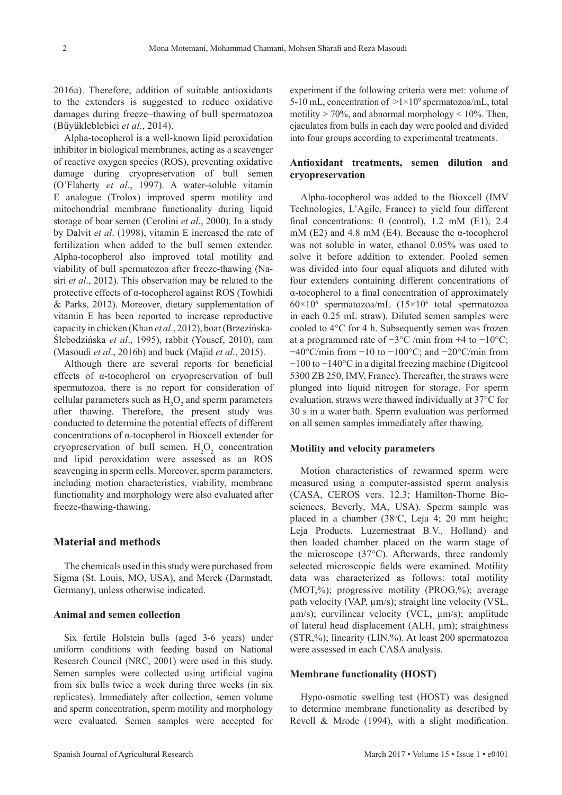2016a). Therefore, addition of suitable antioxidants to the extenders is suggested to reduce oxidative damages during freeze–thawing of bull spermatozoa (Büyükleblebici *et al*., 2014).

Alpha-tocopherol is a well-known lipid peroxidation inhibitor in biological membranes, acting as a scavenger of reactive oxygen species (ROS), preventing oxidative damage during cryopreservation of bull semen (O'Flaherty *et al*., 1997). A water-soluble vitamin E analogue (Trolox) improved sperm motility and mitochondrial membrane functionality during liquid storage of boar semen (Cerolini *et al*., 2000). In a study by Dalvit *et al*. (1998), vitamin E increased the rate of fertilization when added to the bull semen extender. Alpha-tocopherol also improved total motility and viability of bull spermatozoa after freeze-thawing (Nasiri *et al*., 2012). This observation may be related to the protective effects of α-tocopherol against ROS (Towhidi & Parks, 2012). Moreover, dietary supplementation of vitamin E has been reported to increase reproductive capacity in chicken (Khan *et al*., 2012), boar (Brzezińska-Ślebodzińska *et al*., 1995), rabbit (Yousef, 2010), ram (Masoudi *et al*., 2016b) and buck (Majid *et al*., 2015).

Although there are several reports for beneficial effects of α-tocopherol on cryopreservation of bull spermatozoa, there is no report for consideration of cellular parameters such as  $H_2O_2$  and sperm parameters after thawing. Therefore, the present study was conducted to determine the potential effects of different concentrations of α-tocopherol in Bioxcell extender for cryopreservation of bull semen.  $H_2O_2$  concentration and lipid peroxidation were assessed as an ROS scavenging in sperm cells. Moreover, sperm parameters, including motion characteristics, viability, membrane functionality and morphology were also evaluated after freeze-thawing-thawing.

## **Material and methods**

The chemicals used in this study were purchased from Sigma (St. Louis, MO, USA), and Merck (Darmstadt, Germany), unless otherwise indicated.

#### **Animal and semen collection**

Six fertile Holstein bulls (aged 3-6 years) under uniform conditions with feeding based on National Research Council (NRC, 2001) were used in this study. Semen samples were collected using artificial vagina from six bulls twice a week during three weeks (in six replicates). Immediately after collection, semen volume and sperm concentration, sperm motility and morphology were evaluated. Semen samples were accepted for experiment if the following criteria were met: volume of 5-10 mL, concentration of  $>1\times10^9$  spermatozoa/mL, total motility  $> 70\%$ , and abnormal morphology  $< 10\%$ . Then, ejaculates from bulls in each day were pooled and divided into four groups according to experimental treatments.

## **Antioxidant treatments, semen dilution and cryopreservation**

Alpha-tocopherol was added to the Bioxcell (IMV Technologies, L'Agile, France) to yield four different final concentrations: 0 (control), 1.2 mM (E1), 2.4 mM (E2) and 4.8 mM (E4). Because the α-tocopherol was not soluble in water, ethanol 0.05% was used to solve it before addition to extender. Pooled semen was divided into four equal aliquots and diluted with four extenders containing different concentrations of α-tocopherol to a final concentration of approximately 60×106 spermatozoa/mL (15×106 total spermatozoa in each 0.25 mL straw). Diluted semen samples were cooled to 4°C for 4 h. Subsequently semen was frozen at a programmed rate of  $-3$ °C /min from +4 to  $-10$ °C;  $-40^{\circ}$ C/min from  $-10$  to  $-100^{\circ}$ C; and  $-20^{\circ}$ C/min from −100 to −140°C in a digital freezing machine (Digitcool 5300 ZB 250, IMV, France). Thereafter, the straws were plunged into liquid nitrogen for storage. For sperm evaluation, straws were thawed individually at 37°C for 30 s in a water bath. Sperm evaluation was performed on all semen samples immediately after thawing.

## **Motility and velocity parameters**

Motion characteristics of rewarmed sperm were measured using a [computer-assisted sperm analysis](https://www.google.com/url?sa=t&rct=j&q=&esrc=s&source=web&cd=&cad=rja&uact=8&sqi=2&ved=0ahUKEwio1b65l-PRAhUiM8AKHe4HCX0QFggZMAA&url=http%3A%2F%2Fwww.ncbi.nlm.nih.gov%2Fpubmed%2F24274405&usg=AFQjCNE3IqZSkn7HM_b8B1W6wbS6jNDANA&sig2=KaUIQpDUHPd0sM-dG8_rvA&bvm=bv.145393125,d.bGg) (CASA, CEROS vers. 12.3; Hamilton-Thorne Biosciences, Beverly, MA, USA). Sperm sample was placed in a chamber (38°C, Leja 4; 20 mm height; Leja Products, Luzernestraat B.V., Holland) and then loaded chamber placed on the warm stage of the microscope (37°C). Afterwards, three randomly selected microscopic fields were examined. Motility data was characterized as follows: total motility (MOT,%); progressive motility (PROG,%); average path velocity (VAP,  $\mu$ m/s); straight line velocity (VSL, µm/s); curvilinear velocity (VCL, µm/s); amplitude of lateral head displacement (ALH, µm); straightness (STR,%); linearity (LIN,%). At least 200 spermatozoa were assessed in each CASA analysis.

#### **Membrane functionality (HOST)**

Hypo-osmotic swelling test (HOST) was designed to determine membrane functionality as described by Revell & Mrode (1994), with a slight modification.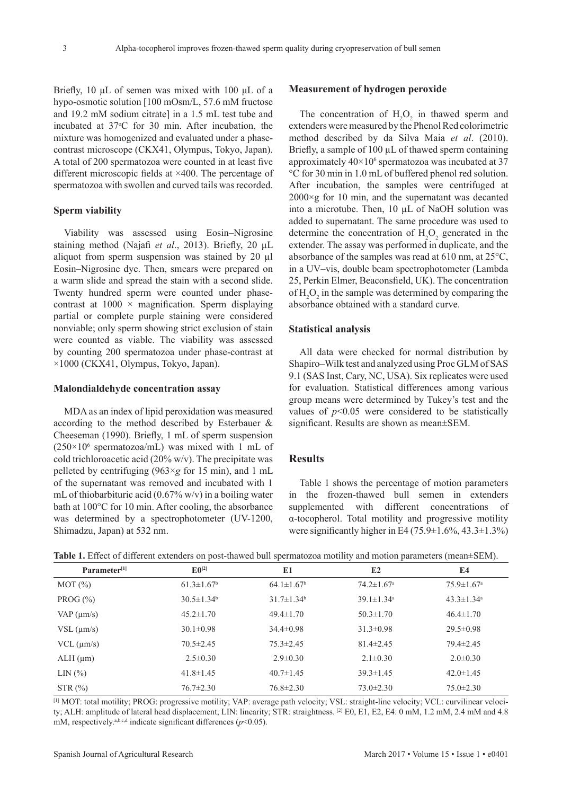Briefly, 10 μL of semen was mixed with 100 μL of a hypo-osmotic solution [100 mOsm/L, 57.6 mM fructose and 19.2 mM sodium citrate] in a 1.5 mL test tube and incubated at 37°C for 30 min. After incubation, the mixture was homogenized and evaluated under a phasecontrast microscope (CKX41, Olympus, Tokyo, Japan). A total of 200 spermatozoa were counted in at least five different microscopic fields at ×400. The percentage of spermatozoa with swollen and curved tails was recorded.

#### **Sperm viability**

Viability was assessed using Eosin–Nigrosine staining method (Najafi *et al*., 2013). Briefly, 20 µL aliquot from sperm suspension was stained by 20 µl Eosin–Nigrosine dye. Then, smears were prepared on a warm slide and spread the stain with a second slide. Twenty hundred sperm were counted under phasecontrast at  $1000 \times$  magnification. Sperm displaying partial or complete purple staining were considered nonviable; only sperm showing strict exclusion of stain were counted as viable. The viability was assessed by counting 200 spermatozoa under phase-contrast at ×1000 (CKX41, Olympus, Tokyo, Japan).

#### **Malondialdehyde concentration assay**

MDA as an index of lipid peroxidation was measured according to the method described by Esterbauer & Cheeseman (1990). Briefly, 1 mL of sperm suspension  $(250 \times 10^6 \text{ spermatozoa/mL})$  was mixed with 1 mL of cold trichloroacetic acid (20% w/v). The precipitate was pelleted by centrifuging (963×*g* for 15 min), and 1 mL of the supernatant was removed and incubated with 1 mL of thiobarbituric acid  $(0.67\% \text{ w/v})$  in a boiling water bath at 100°C for 10 min. After cooling, the absorbance was determined by a spectrophotometer (UV-1200, Shimadzu, Japan) at 532 nm.

#### **Measurement of hydrogen peroxide**

The concentration of  $H_2O_2$  in thawed sperm and extenders were measured by the Phenol Red colorimetric method described by da Silva Maia *et al*. (2010). Briefly, a sample of 100 µL of thawed sperm containing approximately  $40\times10^6$  spermatozoa was incubated at 37 °C for 30 min in 1.0 mL of buffered phenol red solution. After incubation, the samples were centrifuged at  $2000 \times g$  for 10 min, and the supernatant was decanted into a microtube. Then, 10 µL of NaOH solution was added to supernatant. The same procedure was used to determine the concentration of  $H_2O_2$  generated in the extender. The assay was performed in duplicate, and the absorbance of the samples was read at 610 nm, at 25°C, in a UV–vis, double beam spectrophotometer (Lambda 25, Perkin Elmer, Beaconsfield, UK). The concentration of  $H_2O_2$  in the sample was determined by comparing the absorbance obtained with a standard curve.

# **Statistical analysis**

All data were checked for normal distribution by Shapiro–Wilk test and analyzed using Proc GLM of SAS 9.1 (SAS Inst, Cary, NC, USA). Six replicates were used for evaluation. Statistical differences among various group means were determined by Tukey's test and the values of  $p<0.05$  were considered to be statistically significant. Results are shown as mean±SEM.

# **Results**

Table 1 shows the percentage of motion parameters in the frozen-thawed bull semen in extenders supplemented with different concentrations of α-tocopherol. Total motility and progressive motility were significantly higher in E4 (75.9 $\pm$ 1.6%, 43.3 $\pm$ 1.3%)

**Table 1.** Effect of different extenders on post-thawed bull spermatozoa motility and motion parameters (mean±SEM).

| Parameter <sup>[1]</sup> | $E$ <sub>0</sub> [2] | E1                | E2                           | E <sub>4</sub>               |
|--------------------------|----------------------|-------------------|------------------------------|------------------------------|
| MOT(%)                   | $61.3 \pm 1.67^b$    | $64.1 \pm 1.67^b$ | $74.2 \pm 1.67$ <sup>a</sup> | $75.9 \pm 1.67$ <sup>a</sup> |
| PROG $(\% )$             | $30.5 \pm 1.34^b$    | $31.7 \pm 1.34^b$ | $39.1 \pm 1.34$ <sup>a</sup> | $43.3 \pm 1.34$ <sup>a</sup> |
| $VAP$ ( $\mu$ m/s)       | $45.2 \pm 1.70$      | $49.4 \pm 1.70$   | $50.3 \pm 1.70$              | $46.4 \pm 1.70$              |
| $VSL$ ( $\mu$ m/s)       | $30.1 \pm 0.98$      | $34.4 \pm 0.98$   | $31.3 \pm 0.98$              | $29.5 \pm 0.98$              |
| $VCL$ ( $\mu$ m/s)       | $70.5 \pm 2.45$      | $75.3 \pm 2.45$   | $81.4 \pm 2.45$              | $79.4 \pm 2.45$              |
| $ALH$ ( $\mu$ m)         | $2.5 \pm 0.30$       | $2.9 \pm 0.30$    | $2.1 \pm 0.30$               | $2.0 \pm 0.30$               |
| LIN(%)                   | $41.8 \pm 1.45$      | $40.7 \pm 1.45$   | $39.3 \pm 1.45$              | $42.0 \pm 1.45$              |
| STR(%)                   | $76.7 \pm 2.30$      | $76.8 \pm 2.30$   | $73.0 \pm 2.30$              | $75.0 \pm 2.30$              |

[1] MOT: total motility; PROG: progressive motility; VAP: average path velocity; VSL: straight-line velocity; VCL: curvilinear velocity; ALH: amplitude of lateral head displacement; LIN: linearity; STR: straightness. <sup>[2]</sup> E0, E1, E2, E4: 0 mM, 1.2 mM, 2.4 mM and 4.8 mM, respectively.<sup>a,b,c,d</sup> indicate significant differences ( $p$ <0.05).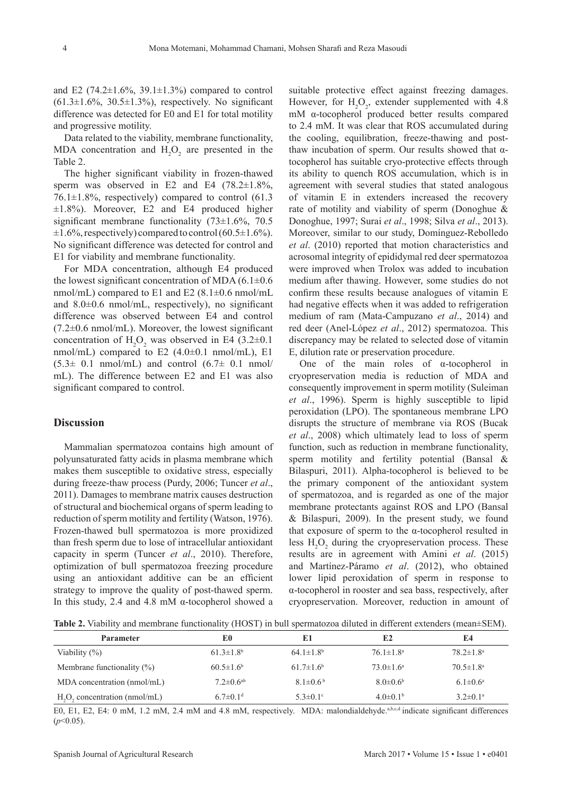and E2 (74.2 $\pm$ 1.6%, 39.1 $\pm$ 1.3%) compared to control  $(61.3\pm1.6\%, 30.5\pm1.3\%)$ , respectively. No significant difference was detected for E0 and E1 for total motility and progressive motility.

Data related to the viability, membrane functionality, MDA concentration and  $H_2O_2$  are presented in the Table 2.

The higher significant viability in frozen-thawed sperm was observed in E2 and E4  $(78.2 \pm 1.8\%$ , 76.1 $\pm$ 1.8%, respectively) compared to control (61.3  $\pm 1.8\%$ ). Moreover, E2 and E4 produced higher significant membrane functionality (73±1.6%, 70.5  $\pm 1.6\%$ , respectively) compared to control (60.5 $\pm 1.6\%$ ). No significant difference was detected for control and E1 for viability and membrane functionality.

For MDA concentration, although E4 produced the lowest significant concentration of MDA  $(6.1\pm0.6$ nmol/mL) compared to E1 and E2  $(8.1 \pm 0.6 \text{ nmol/mL})$ and 8.0±0.6 nmol/mL, respectively), no significant difference was observed between E4 and control  $(7.2\pm0.6 \text{ nmol/mL})$ . Moreover, the lowest significant concentration of  $H_2O_2$  was observed in E4 (3.2 $\pm$ 0.1 nmol/mL) compared to E2  $(4.0\pm0.1 \text{ nmol/mL})$ , E1  $(5.3\pm 0.1 \text{ nmol/mL})$  and control  $(6.7\pm 0.1 \text{ nmol/m})$ mL). The difference between E2 and E1 was also significant compared to control.

#### **Discussion**

Mammalian spermatozoa contains high amount of polyunsaturated fatty acids in plasma membrane which makes them susceptible to oxidative stress, especially during freeze-thaw process (Purdy, 2006; Tuncer *et al*., 2011). Damages to membrane matrix causes destruction of structural and biochemical organs of sperm leading to reduction of sperm motility and fertility (Watson, 1976). Frozen-thawed bull spermatozoa is more proxidized than fresh sperm due to lose of intracellular antioxidant capacity in sperm (Tuncer *et al*., 2010). Therefore, optimization of bull spermatozoa freezing procedure using an antioxidant additive can be an efficient strategy to improve the quality of post-thawed sperm. In this study, 2.4 and 4.8 mM α-tocopherol showed a suitable protective effect against freezing damages. However, for  $H_2O_2$ , extender supplemented with 4.8 mM α-tocopherol produced better results compared to 2.4 mM. It was clear that ROS accumulated during the cooling, equilibration, freeze-thawing and postthaw incubation of sperm. Our results showed that  $α$ tocopherol has suitable cryo-protective effects through its ability to quench ROS accumulation, which is in agreement with several studies that stated analogous of vitamin E in extenders increased the recovery rate of motility and viability of sperm (Donoghue & Donoghue, 1997; Surai *et al*., 1998; Silva *et al*., 2013). Moreover, similar to our study, Domínguez-Rebolledo *et al*. (2010) reported that motion characteristics and acrosomal integrity of epididymal red deer spermatozoa were improved when Trolox was added to incubation medium after thawing. However, some studies do not confirm these results because analogues of vitamin E had negative effects when it was added to refrigeration medium of ram ([Mata-Campuzano](http://www.sciencedirect.com/science/article/pii/S0378432014003042) *et al*., 2014) and red deer ([Anel-López](http://www.sciencedirect.com/science/article/pii/S0378432012002758) *et al*., 2012) spermatozoa. This discrepancy may be related to selected dose of vitamin E, dilution rate or preservation procedure.

One of the main roles of α-tocopherol in cryopreservation media is reduction of MDA and consequently improvement in sperm motility (Suleiman *et al*., 1996). Sperm is highly susceptible to lipid peroxidation (LPO). The spontaneous membrane LPO disrupts the structure of membrane via ROS (Bucak *et al*., 2008) which ultimately lead to loss of sperm function, such as reduction in membrane functionality, sperm motility and fertility potential (Bansal & Bilaspuri, 2011). Alpha-tocopherol is believed to be the primary component of the antioxidant system of spermatozoa, and is regarded as one of the major membrane protectants against ROS and LPO (Bansal & Bilaspuri, 2009). In the present study, we found that exposure of sperm to the α-tocopherol resulted in less  $H_2O_2$  during the cryopreservation process. These results are in agreement with Amini *et al*. (2015) and Martínez-Páramo *et al*. (2012), who obtained lower lipid peroxidation of sperm in response to α-tocopherol in rooster and sea bass, respectively, after cryopreservation. Moreover, reduction in amount of

**Table 2.** Viability and membrane functionality (HOST) in bull spermatozoa diluted in different extenders (mean±SEM).

| <b>Parameter</b>               | E0                          | E1                          | E2                     | E4                        |
|--------------------------------|-----------------------------|-----------------------------|------------------------|---------------------------|
| Viability $(\%)$               | $61.3 \pm 1.8$ <sup>b</sup> | $64.1 \pm 1.8$ <sup>b</sup> | $76.1 \pm 1.8^{\circ}$ | $78.2 \pm 1.8^{\text{a}}$ |
| Membrane functionality $(\%)$  | $60.5 \pm 1.6^b$            | $61.7 \pm 1.6^b$            | $73.0 \pm 1.6^a$       | $70.5 \pm 1.8^{\text{a}}$ |
| MDA concentration (nmol/mL)    | $7.2 \pm 0.6$ <sup>ab</sup> | $8.1\pm0.6^{b}$             | $8.0\pm0.6^{\rm b}$    | $6.1 \pm 0.6^{\text{a}}$  |
| $H2O2$ concentration (nmol/mL) | $6.7 \pm 0.1$ <sup>d</sup>  | $5.3 \pm 0.1$ <sup>c</sup>  | $4.0\pm0.1b$           | $3.2 \pm 0.1^{\text{a}}$  |

E0, E1, E2, E4: 0 mM, 1.2 mM, 2.4 mM and 4.8 mM, respectively. MDA: malondialdehyde.<sup>a,b,c,d</sup> indicate significant differences  $(p<0.05)$ .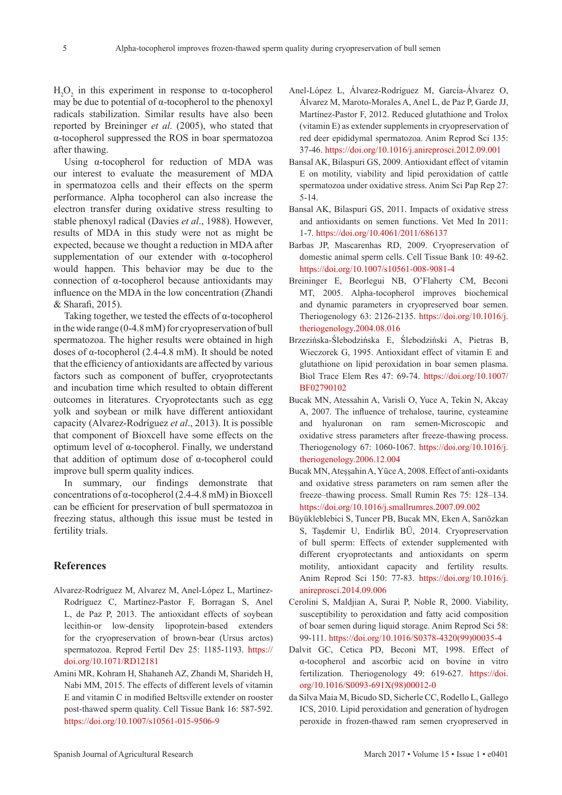$H<sub>2</sub>O<sub>2</sub>$  in this experiment in response to α-tocopherol may be due to potential of  $\alpha$ -tocopherol to the phenoxyl radicals stabilization. Similar results have also been reported by [Breininger](http://www.sciencedirect.com/science/article/pii/S0093691X04003735) *et al.* (2005), who stated that α-tocopherol suppressed the ROS in boar spermatozoa after thawing.

Using α-tocopherol for reduction of MDA was our interest to evaluate the measurement of MDA in spermatozoa cells and their effects on the sperm performance. Alpha tocopherol can also increase the electron transfer during oxidative stress resulting to stable phenoxyl radical (Davies *et al*., 1988). However, results of MDA in this study were not as might be expected, because we thought a reduction in MDA after supplementation of our extender with α-tocopherol would happen. This behavior may be due to the connection of α-tocopherol because antioxidants may influence on the MDA in the low concentration (Zhandi & Sharafi, 2015).

Taking together, we tested the effects of α-tocopherol in the wide range (0-4.8 mM) for cryopreservation of bull spermatozoa. The higher results were obtained in high doses of α-tocopherol (2.4-4.8 mM). It should be noted that the efficiency of antioxidants are affected by various factors such as component of buffer, cryoprotectants and incubation time which resulted to obtain different outcomes in literatures. Cryoprotectants such as egg yolk and soybean or milk have different antioxidant capacity (Alvarez-Rodríguez *et al*., 2013). It is possible that component of Bioxcell have some effects on the optimum level of α-tocopherol. Finally, we understand that addition of optimum dose of α-tocopherol could improve bull sperm quality indices.

In summary, our findings demonstrate that concentrations of α-tocopherol (2.4-4.8 mM) in Bioxcell can be efficient for preservation of bull spermatozoa in freezing status, although this issue must be tested in fertility trials.

## **References**

- Alvarez-Rodríguez M, Alvarez M, Anel-López L, Martínez-Rodríguez C, Martínez-Pastor F, Borragan S, Anel L, de Paz P, 2013. The antioxidant effects of soybean lecithin-or low-density lipoprotein-based extenders for the cryopreservation of brown-bear (Ursus arctos) spermatozoa. Reprod Fertil Dev 25: 1185-1193. [https://](https://doi.org/10.1071/RD12181) [doi.org/10.1071/RD12181](https://doi.org/10.1071/RD12181)
- Amini MR, Kohram H, Shahaneh AZ, Zhandi M, Sharideh H, Nabi MM, 2015. The effects of different levels of vitamin E and vitamin C in modified Beltsville extender on rooster post-thawed sperm quality. Cell Tissue Bank 16: 587-592. <https://doi.org/10.1007/s10561-015-9506-9>
- Anel-López L, Álvarez-Rodríguez M, García-Álvarez O, Álvarez M, Maroto-Morales A, Anel L, de Paz P, Garde JJ, Martínez-Pastor F, 2012. Reduced glutathione and Trolox (vitamin E) as extender supplements in cryopreservation of red deer epididymal spermatozoa. Anim Reprod Sci 135: 37-46.<https://doi.org/10.1016/j.anireprosci.2012.09.001>
- Bansal AK, Bilaspuri GS, 2009. Antioxidant effect of vitamin E on motility, viability and lipid peroxidation of cattle spermatozoa under oxidative stress. Anim Sci Pap Rep 27: 5-14.
- Bansal AK, Bilaspuri GS, 2011. Impacts of oxidative stress and antioxidants on semen functions. Vet Med In 2011: 1-7. <https://doi.org/10.4061/2011/686137>
- Barbas JP, Mascarenhas RD, 2009. Cryopreservation of domestic animal sperm cells. Cell Tissue Bank 10: 49-62. <https://doi.org/10.1007/s10561-008-9081-4>
- Breininger E, Beorlegui NB, O'Flaherty CM, Beconi MT, 2005. Alpha-tocopherol improves biochemical and dynamic parameters in cryopreserved boar semen. Theriogenology 63: 2126-2135. [https://doi.org/10.1016/j.](https://doi.org/10.1016/j.theriogenology.2004.08.016) [theriogenology.2004.08.016](https://doi.org/10.1016/j.theriogenology.2004.08.016)
- Brzezińska-Ślebodzińska E, Ślebodziński A, Pietras B, Wieczorek G, 1995. Antioxidant effect of vitamin E and glutathione on lipid peroxidation in boar semen plasma. Biol Trace Elem Res 47: 69-74. [https://doi.org/10.1007/](https://doi.org/10.1007/BF02790102) [BF02790102](https://doi.org/10.1007/BF02790102)
- Bucak MN, Atessahin A, Varisli O, Yuce A, Tekin N, Akcay A, 2007. The influence of trehalose, taurine, cysteamine and hyaluronan on ram semen-Microscopic and oxidative stress parameters after freeze-thawing process. Theriogenology 67: 1060-1067. [https://doi.org/10.1016/j.](https://doi.org/10.1016/j.theriogenology.2006.12.004) [theriogenology.2006.12.004](https://doi.org/10.1016/j.theriogenology.2006.12.004)
- Bucak MN, Ateşşahin A, Yüce A, 2008. Effect of anti-oxidants and oxidative stress parameters on ram semen after the freeze–thawing process. Small Rumin Res 75: 128–134. <https://doi.org/10.1016/j.smallrumres.2007.09.002>
- Büyükleblebici S, Tuncer PB, Bucak MN, Eken A, Sarıözkan S, Taşdemir U, Endirlik BÜ, 2014. Cryopreservation of bull sperm: Effects of extender supplemented with different cryoprotectants and antioxidants on sperm motility, antioxidant capacity and fertility results. Anim Reprod Sci 150: 77-83. [https://doi.org/10.1016/j.](https://doi.org/10.1016/j.anireprosci.2014.09.006) [anireprosci.2014.09.006](https://doi.org/10.1016/j.anireprosci.2014.09.006)
- Cerolini S, Maldjian A, Surai P, Noble R, 2000. Viability, susceptibility to peroxidation and fatty acid composition of boar semen during liquid storage. Anim Reprod Sci 58: 99-111. [https://doi.org/10.1016/S0378-4320\(99\)00035-4](https://doi.org/10.1016/S0378-4320%2899%2900035-4)
- Dalvit GC, Cetica PD, Beconi MT, 1998. Effect of α-tocopherol and ascorbic acid on bovine in vitro fertilization. Theriogenology 49: 619-627. [https://doi.](https://doi.org/10.1016/S0093-691X%2898%2900012-0) [org/10.1016/S0093-691X\(98\)00012-0](https://doi.org/10.1016/S0093-691X%2898%2900012-0)
- da Silva Maia M, Bicudo SD, Sicherle CC, Rodello L, Gallego ICS, 2010. Lipid peroxidation and generation of hydrogen peroxide in frozen-thawed ram semen cryopreserved in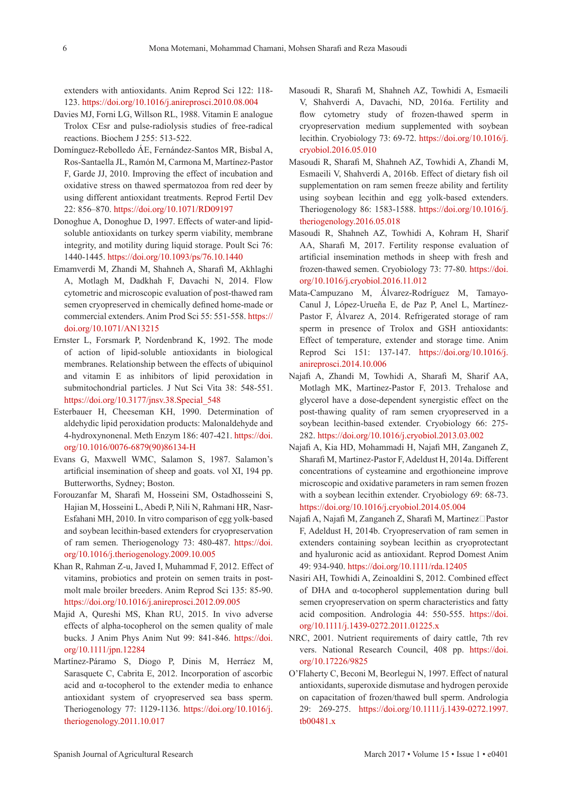extenders with antioxidants. Anim Reprod Sci 122: 118- 123. <https://doi.org/10.1016/j.anireprosci.2010.08.004>

- Davies MJ, Forni LG, Willson RL, 1988. Vitamin E analogue Trolox CEsr and pulse-radiolysis studies of free-radical reactions. Biochem J 255: 513-522.
- Domínguez-Rebolledo ÁE, Fernández-Santos MR, Bisbal A, Ros-Santaella JL, Ramón M, Carmona M, Martínez-Pastor F, Garde JJ, 2010. Improving the effect of incubation and oxidative stress on thawed spermatozoa from red deer by using different antioxidant treatments. Reprod Fertil Dev 22: 856–870. <https://doi.org/10.1071/RD09197>
- Donoghue A, Donoghue D, 1997. Effects of water-and lipidsoluble antioxidants on turkey sperm viability, membrane integrity, and motility during liquid storage. Poult Sci 76: 1440-1445. <https://doi.org/10.1093/ps/76.10.1440>
- Emamverdi M, Zhandi M, Shahneh A, Sharafi M, Akhlaghi A, Motlagh M, Dadkhah F, Davachi N, 2014. Flow cytometric and microscopic evaluation of post-thawed ram semen cryopreserved in chemically defined home-made or commercial extenders. Anim Prod Sci 55: 551-558. [https://](https://doi.org/10.1071/AN13215) [doi.org/10.1071/AN13215](https://doi.org/10.1071/AN13215)
- Ernster L, Forsmark P, Nordenbrand K, 1992. The mode of action of lipid-soluble antioxidants in biological membranes. Relationship between the effects of ubiquinol and vitamin E as inhibitors of lipid peroxidation in submitochondrial particles. J Nut Sci Vita 38: 548-551. [https://doi.org/10.3177/jnsv.38.Special\\_548](https://doi.org/10.3177/jnsv.38.Special_548)
- Esterbauer H, Cheeseman KH, 1990. Determination of aldehydic lipid peroxidation products: Malonaldehyde and 4-hydroxynonenal. Meth Enzym 186: 407-421. [https://doi.](https://doi.org/10.1016/0076-6879%2890%2986134-H) [org/10.1016/0076-6879\(90\)86134-H](https://doi.org/10.1016/0076-6879%2890%2986134-H)
- Evans G, Maxwell WMC, Salamon S, 1987. Salamon's artificial insemination of sheep and goats. vol XI, 194 pp. Butterworths, Sydney; Boston.
- Forouzanfar M, Sharafi M, Hosseini SM, Ostadhosseini S, Hajian M, Hosseini L, Abedi P, Nili N, Rahmani HR, Nasr-Esfahani MH, 2010. In vitro comparison of egg yolk-based and soybean lecithin-based extenders for cryopreservation of ram semen. Theriogenology 73: 480-487. [https://doi.](https://doi.org/10.1016/j.theriogenology.2009.10.005) [org/10.1016/j.theriogenology.2009.10.005](https://doi.org/10.1016/j.theriogenology.2009.10.005)
- Khan R, Rahman Z-u, Javed I, Muhammad F, 2012. Effect of vitamins, probiotics and protein on semen traits in postmolt male broiler breeders. Anim Reprod Sci 135: 85-90. <https://doi.org/10.1016/j.anireprosci.2012.09.005>
- Majid A, Qureshi MS, Khan RU, 2015. In vivo adverse effects of alpha-tocopherol on the semen quality of male bucks. J Anim Phys Anim Nut 99: 841-846. [https://doi.](https://doi.org/10.1111/jpn.12284) [org/10.1111/jpn.12284](https://doi.org/10.1111/jpn.12284)
- Martínez-Páramo S, Diogo P, Dinis M, Herráez M, Sarasquete C, Cabrita E, 2012. Incorporation of ascorbic acid and α-tocopherol to the extender media to enhance antioxidant system of cryopreserved sea bass sperm. Theriogenology 77: 1129-1136. [https://doi.org/10.1016/j.](https://doi.org/10.1016/j.theriogenology.2011.10.017) [theriogenology.2011.10.017](https://doi.org/10.1016/j.theriogenology.2011.10.017)
- Masoudi R, Sharafi M, Shahneh AZ, Towhidi A, Esmaeili V, Shahverdi A, Davachi, ND, 2016a. Fertility and flow cytometry study of frozen-thawed sperm in cryopreservation medium supplemented with soybean lecithin. Cryobiology 73: 69-72. [https://doi.org/10.1016/j.](https://doi.org/10.1016/j.cryobiol.2016.05.010) [cryobiol.2016.05.010](https://doi.org/10.1016/j.cryobiol.2016.05.010)
- Masoudi R, Sharafi M, Shahneh AZ, Towhidi A, Zhandi M, Esmaeili V, Shahverdi A, 2016b. Effect of dietary fish oil supplementation on ram semen freeze ability and fertility using soybean lecithin and egg yolk-based extenders. Theriogenology 86: 1583-1588. [https://doi.org/10.1016/j.](https://doi.org/10.1016/j.theriogenology.2016.05.018) [theriogenology.2016.05.018](https://doi.org/10.1016/j.theriogenology.2016.05.018)
- Masoudi R, Shahneh AZ, Towhidi A, Kohram H, Sharif AA, Sharafi M, 2017. Fertility response evaluation of artificial insemination methods in sheep with fresh and frozen-thawed semen. Cryobiology 73: 77-80. [https://doi.](https://doi.org/10.1016/j.cryobiol.2016.11.012) [org/10.1016/j.cryobiol.2016.11.012](https://doi.org/10.1016/j.cryobiol.2016.11.012)
- Mata-Campuzano M, Álvarez-Rodríguez M, Tamayo-Canul J, López-Urueña E, de Paz P, Anel L, Martínez-Pastor F, Álvarez A, 2014. Refrigerated storage of ram sperm in presence of Trolox and GSH antioxidants: Effect of temperature, extender and storage time. Anim Reprod Sci 151: 137-147. [https://doi.org/10.1016/j.](https://doi.org/10.1016/j.anireprosci.2014.10.006) [anireprosci.2014.10.006](https://doi.org/10.1016/j.anireprosci.2014.10.006)
- Najafi A, Zhandi M, Towhidi A, Sharafi M, Sharif AA, Motlagh MK, Martinez-Pastor F, 2013. Trehalose and glycerol have a dose-dependent synergistic effect on the post-thawing quality of ram semen cryopreserved in a soybean lecithin-based extender. Cryobiology 66: 275- 282.<https://doi.org/10.1016/j.cryobiol.2013.03.002>
- Najafi A, Kia HD, Mohammadi H, Najafi MH, Zanganeh Z, Sharafi M, Martinez-Pastor F, Adeldust H, 2014a. Different concentrations of cysteamine and ergothioneine improve microscopic and oxidative parameters in ram semen frozen with a soybean lecithin extender. Cryobiology 69: 68-73. <https://doi.org/10.1016/j.cryobiol.2014.05.004>
- Najafi A, Najafi M, Zanganeh Z, Sharafi M, Martinez□Pastor F, Adeldust H, 2014b. Cryopreservation of ram semen in extenders containing soybean lecithin as cryoprotectant and hyaluronic acid as antioxidant. Reprod Domest Anim 49: 934-940.<https://doi.org/10.1111/rda.12405>
- Nasiri AH, Towhidi A, Zeinoaldini S, 2012. Combined effect of DHA and α-tocopherol supplementation during bull semen cryopreservation on sperm characteristics and fatty acid composition. Andrologia 44: 550-555. [https://doi.](https://doi.org/10.1111/j.1439-0272.2011.01225.x) [org/10.1111/j.1439-0272.2011.01225.x](https://doi.org/10.1111/j.1439-0272.2011.01225.x)
- NRC, 2001. Nutrient requirements of dairy cattle, 7th rev vers. National Research Council, 408 pp. https://doi. org/10.17226/9825
- O'Flaherty C, Beconi M, Beorlegui N, 1997. Effect of natural antioxidants, superoxide dismutase and hydrogen peroxide on capacitation of frozen/thawed bull sperm. Andrologia 29: 269-275. [https://doi.org/10.1111/j.1439-0272.1997.](https://doi.org/10.1111/j.1439-0272.1997.tb00481.x) [tb00481.x](https://doi.org/10.1111/j.1439-0272.1997.tb00481.x)